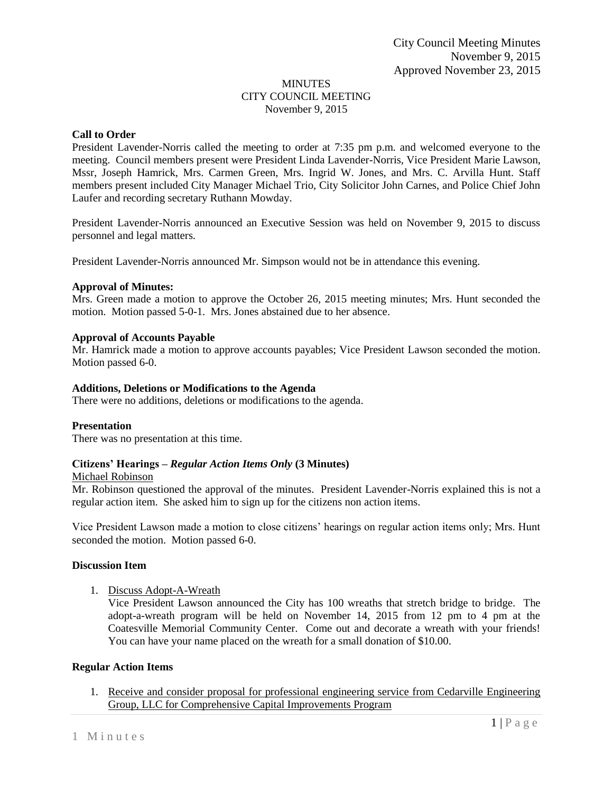## MINUTES CITY COUNCIL MEETING November 9, 2015

# **Call to Order**

President Lavender-Norris called the meeting to order at 7:35 pm p.m. and welcomed everyone to the meeting. Council members present were President Linda Lavender-Norris, Vice President Marie Lawson, Mssr, Joseph Hamrick, Mrs. Carmen Green, Mrs. Ingrid W. Jones, and Mrs. C. Arvilla Hunt. Staff members present included City Manager Michael Trio, City Solicitor John Carnes, and Police Chief John Laufer and recording secretary Ruthann Mowday.

President Lavender-Norris announced an Executive Session was held on November 9, 2015 to discuss personnel and legal matters.

President Lavender-Norris announced Mr. Simpson would not be in attendance this evening.

# **Approval of Minutes:**

Mrs. Green made a motion to approve the October 26, 2015 meeting minutes; Mrs. Hunt seconded the motion. Motion passed 5-0-1. Mrs. Jones abstained due to her absence.

# **Approval of Accounts Payable**

Mr. Hamrick made a motion to approve accounts payables; Vice President Lawson seconded the motion. Motion passed 6-0.

## **Additions, Deletions or Modifications to the Agenda**

There were no additions, deletions or modifications to the agenda.

# **Presentation**

There was no presentation at this time.

# **Citizens' Hearings –** *Regular Action Items Only* **(3 Minutes)**

### Michael Robinson

Mr. Robinson questioned the approval of the minutes. President Lavender-Norris explained this is not a regular action item. She asked him to sign up for the citizens non action items.

Vice President Lawson made a motion to close citizens' hearings on regular action items only; Mrs. Hunt seconded the motion. Motion passed 6-0.

### **Discussion Item**

1. Discuss Adopt-A-Wreath

Vice President Lawson announced the City has 100 wreaths that stretch bridge to bridge. The adopt-a-wreath program will be held on November 14, 2015 from 12 pm to 4 pm at the Coatesville Memorial Community Center. Come out and decorate a wreath with your friends! You can have your name placed on the wreath for a small donation of \$10.00.

# **Regular Action Items**

1. Receive and consider proposal for professional engineering service from Cedarville Engineering Group, LLC for Comprehensive Capital Improvements Program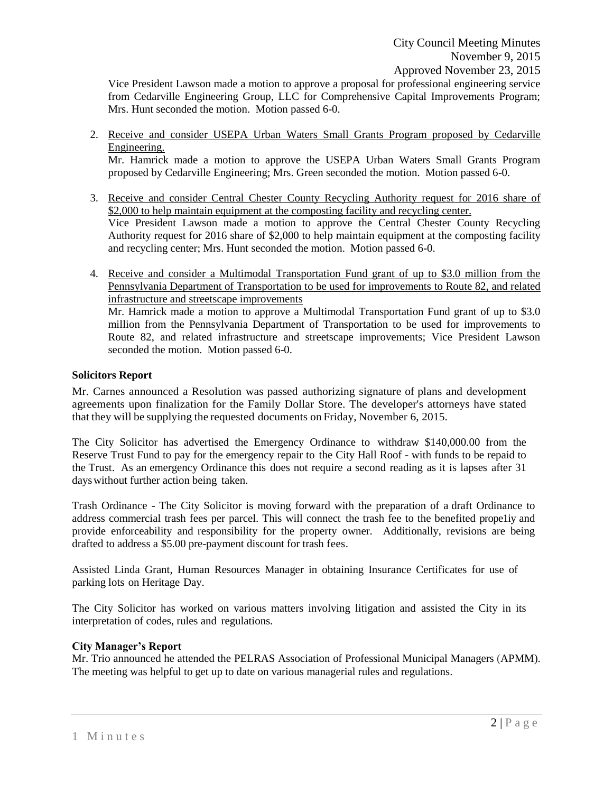Vice President Lawson made a motion to approve a proposal for professional engineering service from Cedarville Engineering Group, LLC for Comprehensive Capital Improvements Program; Mrs. Hunt seconded the motion. Motion passed 6-0.

2. Receive and consider USEPA Urban Waters Small Grants Program proposed by Cedarville Engineering.

Mr. Hamrick made a motion to approve the USEPA Urban Waters Small Grants Program proposed by Cedarville Engineering; Mrs. Green seconded the motion. Motion passed 6-0.

- 3. Receive and consider Central Chester County Recycling Authority request for 2016 share of \$2,000 to help maintain equipment at the composting facility and recycling center. Vice President Lawson made a motion to approve the Central Chester County Recycling Authority request for 2016 share of \$2,000 to help maintain equipment at the composting facility and recycling center; Mrs. Hunt seconded the motion. Motion passed 6-0.
- 4. Receive and consider a Multimodal Transportation Fund grant of up to \$3.0 million from the Pennsylvania Department of Transportation to be used for improvements to Route 82, and related infrastructure and streetscape improvements

Mr. Hamrick made a motion to approve a Multimodal Transportation Fund grant of up to \$3.0 million from the Pennsylvania Department of Transportation to be used for improvements to Route 82, and related infrastructure and streetscape improvements; Vice President Lawson seconded the motion. Motion passed 6-0.

# **Solicitors Report**

Mr. Carnes announced a Resolution was passed authorizing signature of plans and development agreements upon finalization for the Family Dollar Store. The developer's attorneys have stated that they will be supplying the requested documents on Friday, November 6, 2015.

The City Solicitor has advertised the Emergency Ordinance to withdraw \$140,000.00 from the Reserve Trust Fund to pay for the emergency repair to the City Hall Roof - with funds to be repaid to the Trust. As an emergency Ordinance this does not require a second reading as it is lapses after 31 dayswithout further action being taken.

Trash Ordinance - The City Solicitor is moving forward with the preparation of a draft Ordinance to address commercial trash fees per parcel. This will connect the trash fee to the benefited prope1iy and provide enforceability and responsibility for the property owner. Additionally, revisions are being drafted to address a \$5.00 pre-payment discount for trash fees.

Assisted Linda Grant, Human Resources Manager in obtaining Insurance Certificates for use of parking lots on Heritage Day.

The City Solicitor has worked on various matters involving litigation and assisted the City in its interpretation of codes, rules and regulations.

# **City Manager's Report**

Mr. Trio announced he attended the PELRAS Association of Professional Municipal Managers (APMM). The meeting was helpful to get up to date on various managerial rules and regulations.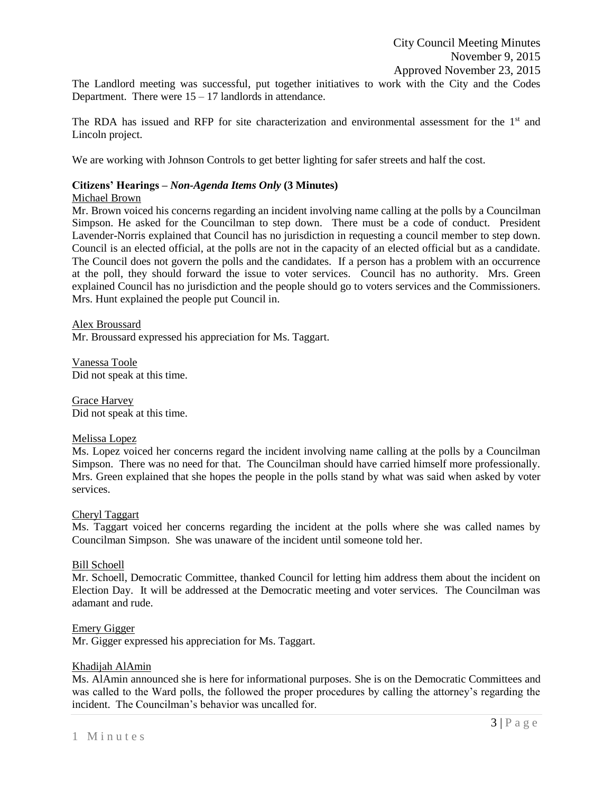The Landlord meeting was successful, put together initiatives to work with the City and the Codes Department. There were  $15 - 17$  landlords in attendance.

The RDA has issued and RFP for site characterization and environmental assessment for the  $1<sup>st</sup>$  and Lincoln project.

We are working with Johnson Controls to get better lighting for safer streets and half the cost.

### **Citizens' Hearings –** *Non-Agenda Items Only* **(3 Minutes)**

### Michael Brown

Mr. Brown voiced his concerns regarding an incident involving name calling at the polls by a Councilman Simpson. He asked for the Councilman to step down. There must be a code of conduct. President Lavender-Norris explained that Council has no jurisdiction in requesting a council member to step down. Council is an elected official, at the polls are not in the capacity of an elected official but as a candidate. The Council does not govern the polls and the candidates. If a person has a problem with an occurrence at the poll, they should forward the issue to voter services. Council has no authority. Mrs. Green explained Council has no jurisdiction and the people should go to voters services and the Commissioners. Mrs. Hunt explained the people put Council in.

Alex Broussard Mr. Broussard expressed his appreciation for Ms. Taggart.

Vanessa Toole Did not speak at this time.

Grace Harvey Did not speak at this time.

### Melissa Lopez

Ms. Lopez voiced her concerns regard the incident involving name calling at the polls by a Councilman Simpson. There was no need for that. The Councilman should have carried himself more professionally. Mrs. Green explained that she hopes the people in the polls stand by what was said when asked by voter services.

### Cheryl Taggart

Ms. Taggart voiced her concerns regarding the incident at the polls where she was called names by Councilman Simpson. She was unaware of the incident until someone told her.

### Bill Schoell

Mr. Schoell, Democratic Committee, thanked Council for letting him address them about the incident on Election Day. It will be addressed at the Democratic meeting and voter services. The Councilman was adamant and rude.

### Emery Gigger

Mr. Gigger expressed his appreciation for Ms. Taggart.

### Khadijah AlAmin

Ms. AlAmin announced she is here for informational purposes. She is on the Democratic Committees and was called to the Ward polls, the followed the proper procedures by calling the attorney's regarding the incident. The Councilman's behavior was uncalled for.